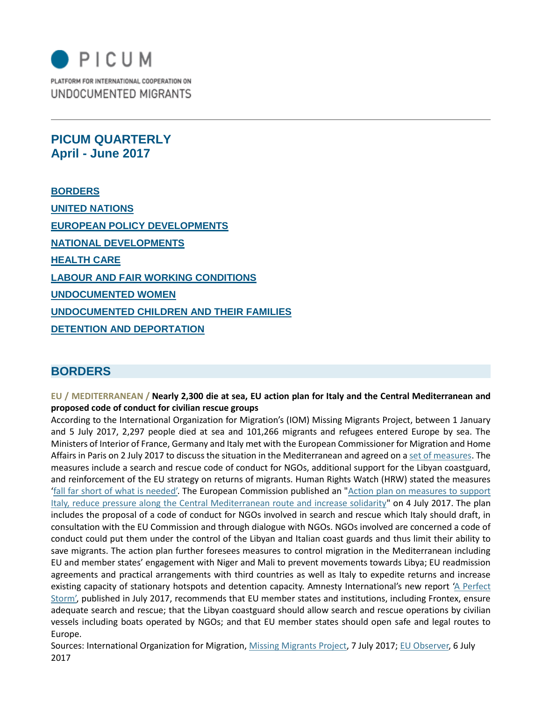

**PICUM QUARTERLY April - June 2017**

**BORDERS** • **UNITED NATIONS** • **EUROPEAN POLICY DEVELOPMENTS** • **NATIONAL DEVELOPMENTS** • **HEALTH CARE** • **LABOUR AND FAIR WORKING CONDITIONS** • **UNDOCUMENTED WOMEN** • **UNDOCUMENTED CHILDREN AND THEIR FAMILIES** • **DETENTION AND DEPORTATION**

## **BORDERS**

**EU / MEDITERRANEAN / Nearly 2,300 die at sea, EU action plan for Italy and the Central Mediterranean and proposed code of conduct for civilian rescue groups** 

According to the International Organization for Migration's (IOM) Missing Migrants Project, between 1 January and 5 July 2017, 2,297 people died at sea and 101,266 migrants and refugees entered Europe by sea. The Ministers of Interior of France, Germany and Italy met with the European Commissioner for Migration and Home Affairs in Paris on 2 July 2017 to discuss the situation in the Mediterranean and agreed on [a set of measures.](http://www.statewatch.org/news/2017/jul/eu-com-refugee-prel.pdf) The measures include a search and rescue code of conduct for NGOs, additional support for the Libyan coastguard, and reinforcement of the EU strategy on returns of migrants. Human Rights Watch (HRW) stated the measures ['fall far short of what is needed'.](https://www.hrw.org/news/2017/07/04/eu-boat-migration-demands-shared-responsibility) The European Commission published an ["Action plan on measures to support](https://ec.europa.eu/home-affairs/sites/homeaffairs/files/what-we-do/policies/european-agenda-migration/20170704_action_plan_on_the_central_mediterranean_route_en.pdf)  [Italy, reduce pressure along the Central Mediterranean route and increase solidarity"](https://ec.europa.eu/home-affairs/sites/homeaffairs/files/what-we-do/policies/european-agenda-migration/20170704_action_plan_on_the_central_mediterranean_route_en.pdf) on 4 July 2017. The plan includes the proposal of a code of conduct for NGOs involved in search and rescue which Italy should draft, in consultation with the EU Commission and through dialogue with NGOs. NGOs involved are concerned a code of conduct could put them under the control of the Libyan and Italian coast guards and thus limit their ability to save migrants. The action plan further foresees measures to control migration in the Mediterranean including EU and member states' engagement with Niger and Mali to prevent movements towards Libya; EU readmission agreements and practical arrangements with third countries as well as Italy to expedite returns and increase existing capacity of stationary hotspots and detention capacity. Amnesty International's new report 'A Perfect [Storm',](https://www.amnesty.org/en/documents/eur03/6655/2017/en/) published in July 2017, recommends that EU member states and institutions, including Frontex, ensure adequate search and rescue; that the Libyan coastguard should allow search and rescue operations by civilian vessels including boats operated by NGOs; and that EU member states should open safe and legal routes to Europe.

Sources: International Organization for Migration, [Missing Migrants Project,](https://missingmigrants.iom.int/) 7 July 2017; [EU Observer,](https://euobserver.com/migration/138455) 6 July 2017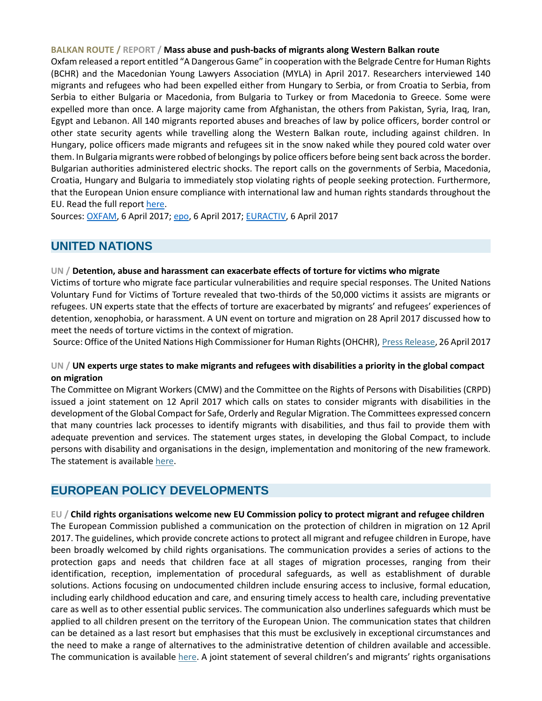#### **BALKAN ROUTE / REPORT / Mass abuse and push-backs of migrants along Western Balkan route**

Oxfam released a report entitled "A Dangerous Game" in cooperation with the Belgrade Centre for Human Rights (BCHR) and the Macedonian Young Lawyers Association (MYLA) in April 2017. Researchers interviewed 140 migrants and refugees who had been expelled either from Hungary to Serbia, or from Croatia to Serbia, from Serbia to either Bulgaria or Macedonia, from Bulgaria to Turkey or from Macedonia to Greece. Some were expelled more than once. A large majority came from Afghanistan, the others from Pakistan, Syria, Iraq, Iran, Egypt and Lebanon. All 140 migrants reported abuses and breaches of law by police officers, border control or other state security agents while travelling along the Western Balkan route, including against children. In Hungary, police officers made migrants and refugees sit in the snow naked while they poured cold water over them. In Bulgaria migrants were robbed of belongings by police officers before being sent back across the border. Bulgarian authorities administered electric shocks. The report calls on the governments of Serbia, Macedonia, Croatia, Hungary and Bulgaria to immediately stop violating rights of people seeking protection. Furthermore, that the European Union ensure compliance with international law and human rights standards throughout the EU. Read the full report [here.](https://www.oxfam.de/system/files/balkan-bericht_a_dangerous_game_0.pdf)

Sources: [OXFAM,](https://www.oxfam.de/ueber-uns/aktuelles/2017-04-06-balkan-route-migranten-berichten-brutalen-misshandlungen) 6 April 2017; [epo,](http://www.epo.de/index.php?option=com_content&view=article&id=13678:ngo-studie-migranten-berichten-von-misshandlungen-an-europas-grenzen&catid=95&Itemid=100067) 6 April 2017; [EURACTIV,](https://www.euractiv.de/section/europakompakt/news/ngo-bericht-misshandlung-von-migranten-an-europas-grenzen-alltaeglich/) 6 April 2017

# **UNITED NATIONS**

### **UN / Detention, abuse and harassment can exacerbate effects of torture for victims who migrate**

Victims of torture who migrate face particular vulnerabilities and require special responses. The United Nations Voluntary Fund for Victims of Torture revealed that two-thirds of the 50,000 victims it assists are migrants or refugees. UN experts state that the effects of torture are exacerbated by migrants' and refugees' experiences of detention, xenophobia, or harassment. A UN event on torture and migration on 28 April 2017 discussed how to meet the needs of torture victims in the context of migration.

Source: Office of the United Nations High Commissioner for Human Rights (OHCHR), [Press Release,](http://www.ohchr.org/EN/NewsEvents/Pages/DisplayNews.aspx?NewsID=21533&LangID=E) 26 April 2017

### **UN / UN experts urge states to make migrants and refugees with disabilities a priority in the global compact on migration**

The Committee on Migrant Workers (CMW) and the Committee on the Rights of Persons with Disabilities (CRPD) issued a joint statement on 12 April 2017 which calls on states to consider migrants with disabilities in the development of the Global Compact for Safe, Orderly and Regular Migration. The Committees expressed concern that many countries lack processes to identify migrants with disabilities, and thus fail to provide them with adequate prevention and services. The statement urges states, in developing the Global Compact, to include persons with disability and organisations in the design, implementation and monitoring of the new framework. The statement is available [here.](http://www.ohchr.org/EN/NewsEvents/Pages/DisplayNews.aspx?NewsID=21495&LangID=E)

## **EUROPEAN POLICY DEVELOPMENTS**

### **EU / Child rights organisations welcome new EU Commission policy to protect migrant and refugee children**

The European Commission published a communication on the protection of children in migration on 12 April 2017. The guidelines, which provide concrete actions to protect all migrant and refugee children in Europe, have been broadly welcomed by child rights organisations. The communication provides a series of actions to the protection gaps and needs that children face at all stages of migration processes, ranging from their identification, reception, implementation of procedural safeguards, as well as establishment of durable solutions. Actions focusing on undocumented children include ensuring access to inclusive, formal education, including early childhood education and care, and ensuring timely access to health care, including preventative care as well as to other essential public services. The communication also underlines safeguards which must be applied to all children present on the territory of the European Union. The communication states that children can be detained as a last resort but emphasises that this must be exclusively in exceptional circumstances and the need to make a range of alternatives to the administrative detention of children available and accessible. The communication is available [here](https://ec.europa.eu/home-affairs/sites/homeaffairs/files/what-we-do/policies/european-agenda-migration/20170412_communication_on_the_protection_of_children_in_migration_en.pdf). A joint statement of several children's and migrants' rights organisations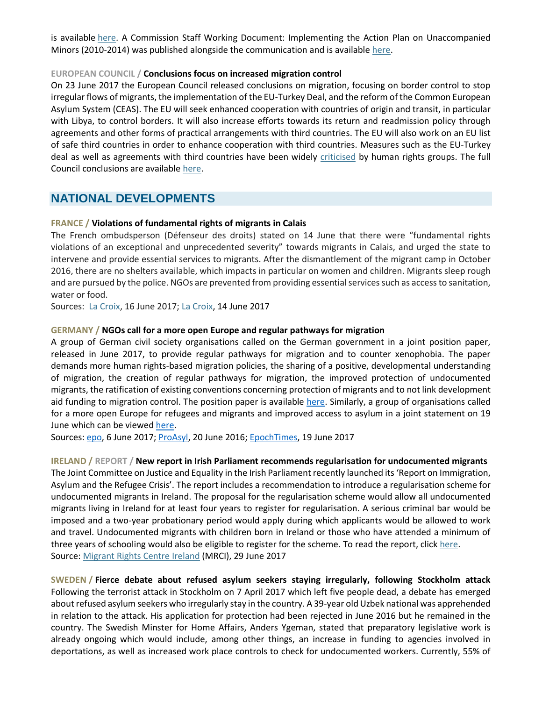is available [here.](http://picum.org/en/news/picum-news/52330/) A Commission Staff Working Document: Implementing the Action Plan on Unaccompanied Minors (2010-2014) was published alongside the communication and is available [here.](https://ec.europa.eu/home-affairs/sites/homeaffairs/files/what-we-do/policies/european-agenda-migration/20170412_communication_on_the_protection_of_children_in_migration_annex_en.pdf)

### **EUROPEAN COUNCIL / Conclusions focus on increased migration control**

On 23 June 2017 the European Council released conclusions on migration, focusing on border control to stop irregular flows of migrants, the implementation of the EU-Turkey Deal, and the reform of the Common European Asylum System (CEAS). The EU will seek enhanced cooperation with countries of origin and transit, in particular with Libya, to control borders. It will also increase efforts towards its return and readmission policy through agreements and other forms of practical arrangements with third countries. The EU will also work on an EU list of safe third countries in order to enhance cooperation with third countries. Measures such as the EU-Turkey deal as well as agreements with third countries have been widely [criticised](https://www.amnesty.org/en/latest/news/2017/03/eu-turkey-deal-a-shameful-stain-on-the-collective-conscience-of-europe/) by human rights groups. The full Council conclusions are availabl[e here.](http://www.consilium.europa.eu/en/meetings/european-council/2017/06/22-23-euco-conclusions_pdf/)

## **NATIONAL DEVELOPMENTS**

### **FRANCE / Violations of fundamental rights of migrants in Calais**

The French ombudsperson (Défenseur des droits) stated on 14 June that there were "fundamental rights violations of an exceptional and unprecedented severity" towards migrants in Calais, and urged the state to intervene and provide essential services to migrants. After the dismantlement of the migrant camp in October 2016, there are no shelters available, which impacts in particular on women and children. Migrants sleep rough and are pursued by the police. NGOs are prevented from providing essential services such as access to sanitation, water or food.

Sources: [La Croix,](http://www.la-croix.com/France/Immigration/A-Calais-migrants-associations-demandent-justice-dintervenir-2017-06-15-1200855198) 16 June 2017; [La Croix,](http://www.la-croix.com/France/Immigration/Le-Defenseur-droits-denonce-situation-Calais-2017-06-14-1200855013) 14 June 2017

#### **GERMANY / NGOs call for a more open Europe and regular pathways for migration**

A group of German civil society organisations called on the German government in a joint position paper, released in June 2017, to provide regular pathways for migration and to counter xenophobia. The paper demands more human rights-based migration policies, the sharing of a positive, developmental understanding of migration, the creation of regular pathways for migration, the improved protection of undocumented migrants, the ratification of existing conventions concerning protection of migrants and to not link development aid funding to migration control. The position paper is available [here.](http://venro.org/uploads/tx_igpublikationen/GFMD_Positionspapier2017_Web-final-V03.pdf) Similarly, a group of organisations called for a more open Europe for refugees and migrants and improved access to asylum in a joint statement on 19 June which can be viewed [here.](https://www.proasyl.de/wp-content/uploads/2015/12/2017-06-19-Gemeinsame-Erklärung-Für-ein-offenes-Europa-ohne-Obergrenzen-für-Flüchtlinge.pdf)

Sources: [epo,](http://www.epo.de/index.php?option=com_content&view=article&id=13840:ngo-positionspapier-mehr-regulaere-migrationswege-schaffen-fremdenfeindlichkeit-entgegentreten&catid=95&Itemid=100067) 6 June 2017; [ProAsyl,](https://www.proasyl.de/news/weltfluechtlingstag-organisationen-fordern-fluechtlingsschutz-und-menschenrechte-in-europa/) 20 June 2016; [EpochTimes,](http://www.epochtimes.de/politik/europa/pro-asyl-und-andere-ngos-fordern-alle-fluechtlinge-nach-europa-lassen-a2146357.html) 19 June 2017

#### **IRELAND / REPORT / New report in Irish Parliament recommends regularisation for undocumented migrants**

The Joint Committee on Justice and Equality in the Irish Parliament recently launched its 'Report on Immigration, Asylum and the Refugee Crisis'. The report includes a recommendation to introduce a regularisation scheme for undocumented migrants in Ireland. The proposal for the regularisation scheme would allow all undocumented migrants living in Ireland for at least four years to register for regularisation. A serious criminal bar would be imposed and a two-year probationary period would apply during which applicants would be allowed to work and travel. Undocumented migrants with children born in Ireland or those who have attended a minimum of three years of schooling would also be eligible to register for the scheme. To read the report, click [here.](http://www.oireachtas.ie/parliament/media/committees/justice/Report-on-Immigration,-Asylum-and-the-Refugee-Crisis.pdf) Source[: Migrant Rights Centre Ireland](http://www.mrci.ie/press-centre/undocumented-migrants-welcome-political-support-for-regularisation/) (MRCI), 29 June 2017

**SWEDEN / Fierce debate about refused asylum seekers staying irregularly, following Stockholm attack** Following the terrorist attack in Stockholm on 7 April 2017 which left five people dead, a debate has emerged about refused asylum seekers who irregularly stay in the country. A 39-year old Uzbek national was apprehended in relation to the attack. His application for protection had been rejected in June 2016 but he remained in the country. The Swedish Minster for Home Affairs, Anders Ygeman, stated that preparatory legislative work is already ongoing which would include, among other things, an increase in funding to agencies involved in deportations, as well as increased work place controls to check for undocumented workers. Currently, 55% of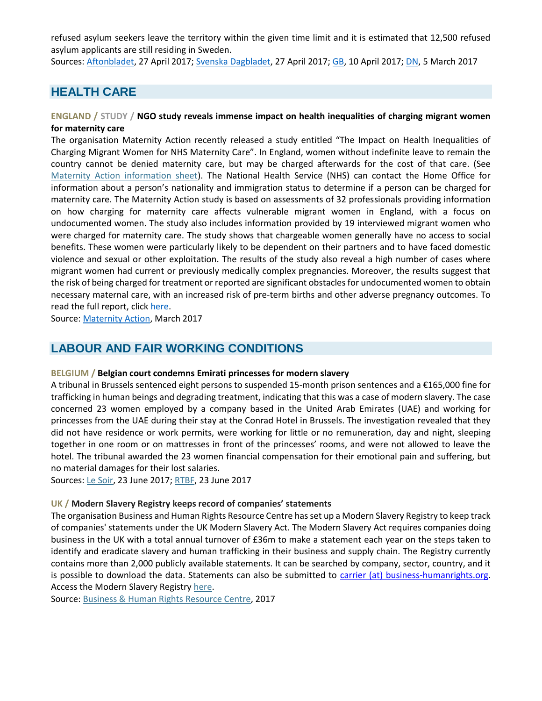refused asylum seekers leave the territory within the given time limit and it is estimated that 12,500 refused asylum applicants are still residing in Sweden.

Sources: [Aftonbladet,](http://www.aftonbladet.se/nyheter/a/rxmrK/forslag-sa-ska-polisen-hitta-fler-papperslosa) 27 April 2017; [Svenska Dagbladet,](https://www.svd.se/39-aringen-skulle-utvisas-hanteringen-behover-granskas) 27 April 2017; [GB,](http://www.gp.se/nyheter/debatt/afghanistan-allt-os%C3%A4krare-f%C3%B6r-dem-som-ska-utvisas-1.4228651) 10 April 2017; [DN,](http://www.dn.se/kultur-noje/kulturdebatt/agneta-pleijel-sveriges-deportationer-av-afghanska-ungdomar-ar-en-skakande-skandal/) 5 March 2017

# **HEALTH CARE**

### **ENGLAND / STUDY / NGO study reveals immense impact on health inequalities of charging migrant women for maternity care**

The organisation Maternity Action recently released a study entitled "The Impact on Health Inequalities of Charging Migrant Women for NHS Maternity Care". In England, women without indefinite leave to remain the country cannot be denied maternity care, but may be charged afterwards for the cost of that care. (See [Maternity Action information sheet\)](https://www.maternityaction.org.uk/advice-2/mums-dads-scenarios/3-women-from-abroad/entitlement-to-free-nhs-maternity-care-for-women-from-abroad/). The National Health Service (NHS) can contact the Home Office for information about a person's nationality and immigration status to determine if a person can be charged for maternity care. The Maternity Action study is based on assessments of 32 professionals providing information on how charging for maternity care affects vulnerable migrant women in England, with a focus on undocumented women. The study also includes information provided by 19 interviewed migrant women who were charged for maternity care. The study shows that chargeable women generally have no access to social benefits. These women were particularly likely to be dependent on their partners and to have faced domestic violence and sexual or other exploitation. The results of the study also reveal a high number of cases where migrant women had current or previously medically complex pregnancies. Moreover, the results suggest that the risk of being charged for treatment or reported are significant obstacles for undocumented women to obtain necessary maternal care, with an increased risk of pre-term births and other adverse pregnancy outcomes. To read the full report, click [here.](https://www.maternityaction.org.uk/wp-content/uploads/ChargingReportMarch2017FINALcompressed.pdf)

Source[: Maternity Action,](https://www.maternityaction.org.uk/wp-content/uploads/ChargingReportMarch2017FINALcompressed.pdf) March 2017

## **LABOUR AND FAIR WORKING CONDITIONS**

### **BELGIUM / Belgian court condemns Emirati princesses for modern slavery**

A tribunal in Brussels sentenced eight persons to suspended 15-month prison sentences and a €165,000 fine for trafficking in human beings and degrading treatment, indicating that this was a case of modern slavery. The case concerned 23 women employed by a company based in the United Arab Emirates (UAE) and working for princesses from the UAE during their stay at the Conrad Hotel in Brussels. The investigation revealed that they did not have residence or work permits, were working for little or no remuneration, day and night, sleeping together in one room or on mattresses in front of the princesses' rooms, and were not allowed to leave the hotel. The tribunal awarded the 23 women financial compensation for their emotional pain and suffering, but no material damages for their lost salaries.

Sources: [Le Soir,](http://www.lesoir.be/101113/article/2017-06-23/esclavagisme-les-princesses-du-conrad-condamnees-165000-euros-damende) 23 June 2017; [RTBF,](https://www.rtbf.be/info/societe/detail_les-princesses-du-conrad-condamnees-a-15-mois-de-prison-avec-sursis?id=9642008) 23 June 2017

### **UK / Modern Slavery Registry keeps record of companies' statements**

The organisation Business and Human Rights Resource Centre has set up a Modern Slavery Registry to keep track of companies' statements under the UK Modern Slavery Act. The Modern Slavery Act requires companies doing business in the UK with a total annual turnover of £36m to make a statement each year on the steps taken to identify and eradicate slavery and human trafficking in their business and supply chain. The Registry currently contains more than 2,000 publicly available statements. It can be searched by company, sector, country, and it is possible to download the data. Statements can also be submitted to [carrier \(at\) business-humanrights.org.](mailto:carrier@business-humanrights.org) Access the Modern Slavery Registry [here.](http://www.modernslaveryregistry.org/)

Source[: Business & Human Rights Resource Centre,](https://business-humanrights.org/en/uk-modern-slavery-act-registry) 2017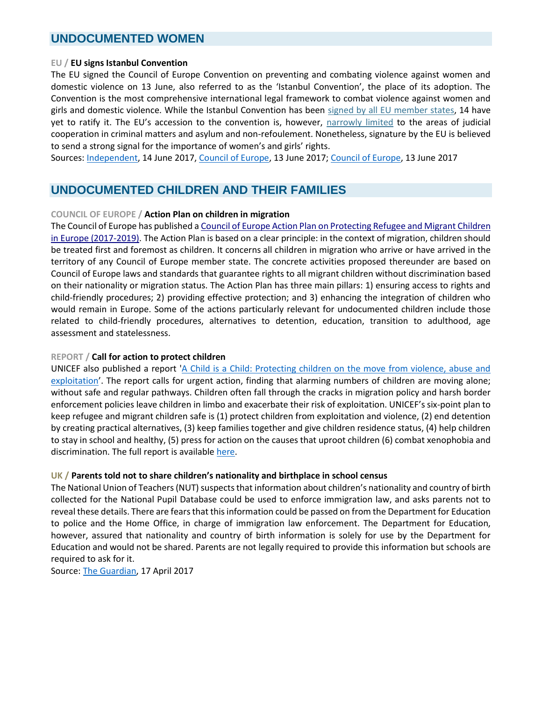## **UNDOCUMENTED WOMEN**

#### **EU / EU signs Istanbul Convention**

The EU signed the Council of Europe Convention on preventing and combating violence against women and domestic violence on 13 June, also referred to as the 'Istanbul Convention', the place of its adoption. The Convention is the most comprehensive international legal framework to combat violence against women and girls and domestic violence. While the Istanbul Convention has been [signed by all EU member states,](https://www.coe.int/en/web/conventions/full-list/-/conventions/treaty/210/signatures) 14 have yet to ratify it. The EU's accession to the convention is, however, [narrowly limited](http://www.europarl.europa.eu/sides/getDoc.do?type=WQ&reference=E-2017-004362&format=XML&language=EN) to the areas of judicial cooperation in criminal matters and asylum and non-refoulement. Nonetheless, signature by the EU is believed to send a strong signal for the importance of women's and girls' rights.

Sources: [Independent,](http://www.independent.com.mt/articles/2017-06-14/local-news/EU-signs-the-Istanbul-Convention-following-agreement-reached-by-the-Maltese-Presidency-6736175469) 14 June 2017, [Council of Europe,](http://www.coe.int/en/web/portal/-/eu-signs-council-of-europe-convention-to-stop-violence-against-women) 13 June 2017[; Council of Europe,](https://search.coe.int/directorate_of_communications/Pages/result_details.aspx?ObjectId=0900001680724be9) 13 June 2017

# **UNDOCUMENTED CHILDREN AND THEIR FAMILIES**

### **COUNCIL OF EUROPE / Action Plan on children in migration**

The Council of Europe has published [a Council of Europe Action Plan on Protecting Refugee and Migrant Children](https://edoc.coe.int/en/index.php?controller=get-file&freeid=7362)  [in Europe \(2017-2019\).](https://edoc.coe.int/en/index.php?controller=get-file&freeid=7362) The Action Plan is based on a clear principle: in the context of migration, children should be treated first and foremost as children. It concerns all children in migration who arrive or have arrived in the territory of any Council of Europe member state. The concrete activities proposed thereunder are based on Council of Europe laws and standards that guarantee rights to all migrant children without discrimination based on their nationality or migration status. The Action Plan has three main pillars: 1) ensuring access to rights and child-friendly procedures; 2) providing effective protection; and 3) enhancing the integration of children who would remain in Europe. Some of the actions particularly relevant for undocumented children include those related to child-friendly procedures, alternatives to detention, education, transition to adulthood, age assessment and statelessness.

### **REPORT / Call for action to protect children**

UNICEF also published a report ['A Child is a Child: Protecting children on the move from violence, abuse and](https://www.unicef.org/publications/files/UNICEF_A_child_is_a_child_May_2017_EN.pdf)  [exploitation](https://www.unicef.org/publications/files/UNICEF_A_child_is_a_child_May_2017_EN.pdf)'. The report calls for urgent action, finding that alarming numbers of children are moving alone; without safe and regular pathways. Children often fall through the cracks in migration policy and harsh border enforcement policies leave children in limbo and exacerbate their risk of exploitation. UNICEF's six-point plan to keep refugee and migrant children safe is (1) protect children from exploitation and violence, (2) end detention by creating practical alternatives, (3) keep families together and give children residence status, (4) help children to stay in school and healthy, (5) press for action on the causes that uproot children (6) combat xenophobia and discrimination. The full report is available [here.](https://www.unicef.org/publications/files/UNICEF_A_child_is_a_child_May_2017_EN.pdf)

### **UK / Parents told not to share children's nationality and birthplace in school census**

The National Union of Teachers (NUT) suspects that information about children's nationality and country of birth collected for the National Pupil Database could be used to enforce immigration law, and asks parents not to reveal these details. There are fears that this information could be passed on from the Department for Education to police and the Home Office, in charge of immigration law enforcement. The Department for Education, however, assured that nationality and country of birth information is solely for use by the Department for Education and would not be shared. Parents are not legally required to provide this information but schools are required to ask for it.

Source: [The Guardian,](https://www.theguardian.com/education/2017/apr/17/nut-to-tell-parents-not-to-give-details-of-childrens-nationality-and-birthplace) 17 April 2017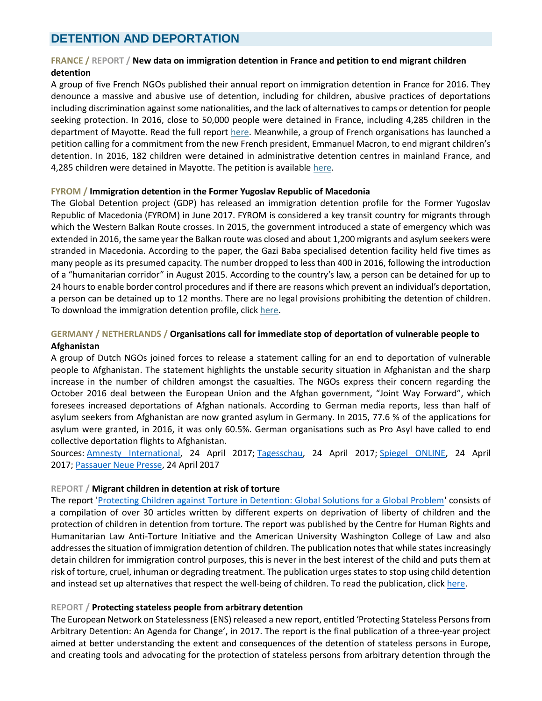## **DETENTION AND DEPORTATION**

### **FRANCE / REPORT / New data on immigration detention in France and petition to end migrant children detention**

A group of five French NGOs published their annual report on immigration detention in France for 2016. They denounce a massive and abusive use of detention, including for children, abusive practices of deportations including discrimination against some nationalities, and the lack of alternatives to camps or detention for people seeking protection. In 2016, close to 50,000 people were detained in France, including 4,285 children in the department of Mayotte. Read the full report [here.](http://www.lacimade.org/publication/rapport-2016-sur-les-centres-et-locaux-de-retention-administrative/) Meanwhile, a group of French organisations has launched a petition calling for a commitment from the new French president, Emmanuel Macron, to end migrant children's detention. In 2016, 182 children were detained in administrative detention centres in mainland France, and 4,285 children were detained in Mayotte. The petition is available [here.](http://agir.lacimade.org/retention)

#### **FYROM / Immigration detention in the Former Yugoslav Republic of Macedonia**

The Global Detention project (GDP) has released an immigration detention profile for the Former Yugoslav Republic of Macedonia (FYROM) in June 2017. FYROM is considered a key transit country for migrants through which the Western Balkan Route crosses. In 2015, the government introduced a state of emergency which was extended in 2016, the same year the Balkan route was closed and about 1,200 migrants and asylum seekers were stranded in Macedonia. According to the paper, the Gazi Baba specialised detention facility held five times as many people as its presumed capacity. The number dropped to less than 400 in 2016, following the introduction of a "humanitarian corridor" in August 2015. According to the country's law, a person can be detained for up to 24 hours to enable border control procedures and if there are reasons which prevent an individual's deportation, a person can be detained up to 12 months. There are no legal provisions prohibiting the detention of children. To download the immigration detention profile, click [here.](https://www.globaldetentionproject.org/immigration-detention-in-macedonia)

### **GERMANY / NETHERLANDS / Organisations call for immediate stop of deportation of vulnerable people to**

#### **Afghanistan**

A group of Dutch NGOs joined forces to release a statement calling for an end to deportation of vulnerable people to Afghanistan. The statement highlights the unstable security situation in Afghanistan and the sharp increase in the number of children amongst the casualties. The NGOs express their concern regarding the October 2016 deal between the European Union and the Afghan government, "Joint Way Forward", which foresees increased deportations of Afghan nationals. According to German media reports, less than half of asylum seekers from Afghanistan are now granted asylum in Germany. In 2015, 77.6 % of the applications for asylum were granted, in 2016, it was only 60.5%. German organisations such as Pro Asyl have called to end collective deportation flights to Afghanistan.

Sources: [Amnesty International,](https://www.amnesty.nl/actueel/kinder-en-mensenrechtenorganisaties-luiden-noodklok-stop-uitzettingen-van-kwetsbare-mensen-naar-afghanistan) 24 April 2017; [Tagesschau,](https://www.tagesschau.de/inland/asyl-abschiebungen-afghanistan-101.html) 24 April 2017; [Spiegel ONLINE,](http://www.spiegel.de/politik/deutschland/afghanische-fluechtlinge-nur-noch-jeder-zweite-erhaelt-asyl-in-deutschland-a-1144497.html) 24 April 2017; [Passauer Neue Presse,](http://www.pnp.de/nachrichten/politik/2484951_Nur-noch-jeder-zweite-afghanische-Fluechtling-erhaelt-Asyl.html) 24 April 2017

### **REPORT / Migrant children in detention at risk of torture**

The report ['Protecting Children against Torture in Detention: Global Solutions for a Global Problem'](http://www.oijj.org/en/docs/publications/protecting-children-against-torture-in-detention-global-solutions-for-a-global-pro) consists of a compilation of over 30 articles written by different experts on deprivation of liberty of children and the protection of children in detention from torture. The report was published by the Centre for Human Rights and Humanitarian Law Anti-Torture Initiative and the American University Washington College of Law and also addresses the situation of immigration detention of children. The publication notes that while states increasingly detain children for immigration control purposes, this is never in the best interest of the child and puts them at risk of torture, cruel, inhuman or degrading treatment. The publication urges states to stop using child detention and instead set up alternatives that respect the well-being of children. To read the publication, click [here.](http://antitorture.org/wp-content/uploads/2017/03/Protecting_Children_From_Torture_in_Detention.pdf)

### **REPORT / Protecting stateless people from arbitrary detention**

The European Network on Statelessness (ENS) released a new report, entitled 'Protecting Stateless Persons from Arbitrary Detention: An Agenda for Change', in 2017. The report is the final publication of a three-year project aimed at better understanding the extent and consequences of the detention of stateless persons in Europe, and creating tools and advocating for the protection of stateless persons from arbitrary detention through the